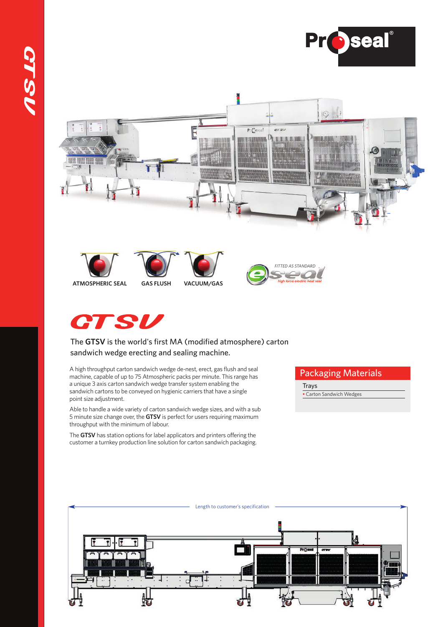











## The **GTSV** is the world's first MA (modified atmosphere) carton sandwich wedge erecting and sealing machine.

A high throughput carton sandwich wedge de-nest, erect, gas flush and seal machine, capable of up to 75 Atmospheric packs per minute. This range has a unique 3 axis carton sandwich wedge transfer system enabling the sandwich cartons to be conveyed on hygienic carriers that have a single point size adjustment.

Able to handle a wide variety of carton sandwich wedge sizes, and with a sub 5 minute size change over, the **GTSV** is perfect for users requiring maximum throughput with the minimum of labour.

The GTSV has station options for label applicators and printers offering the customer a turnkey production line solution for carton sandwich packaging.

## Packaging Materials

**Trays** 

Carton Sandwich Wedges